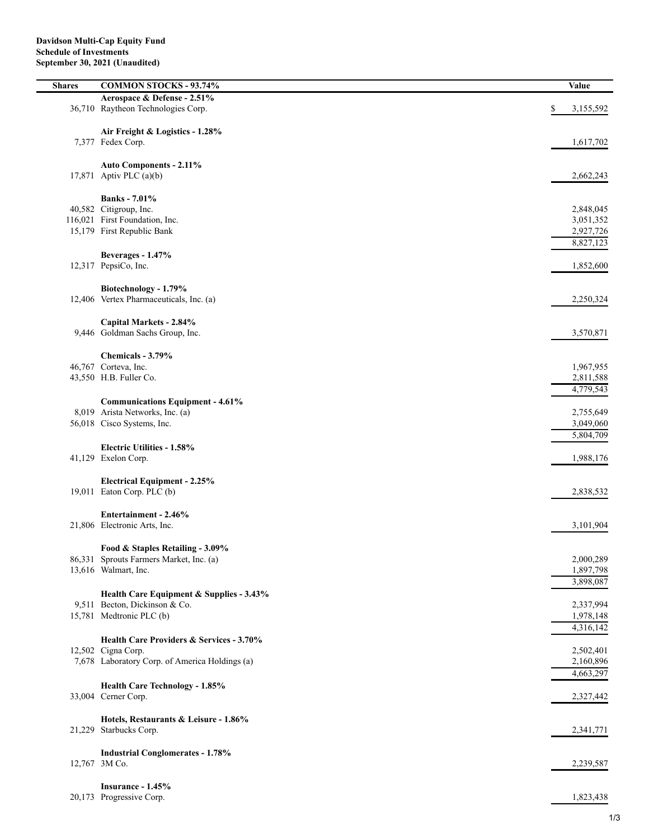| <b>Shares</b> | <b>COMMON STOCKS - 93.74%</b>                                    | Value                  |
|---------------|------------------------------------------------------------------|------------------------|
|               | Aerospace & Defense - 2.51%                                      |                        |
|               | 36,710 Raytheon Technologies Corp.                               | \$<br>3,155,592        |
|               |                                                                  |                        |
|               | Air Freight & Logistics - 1.28%                                  |                        |
|               | 7,377 Fedex Corp.                                                | 1,617,702              |
|               |                                                                  |                        |
|               | Auto Components - 2.11%                                          |                        |
| 17,871        | Aptiv PLC (a)(b)                                                 | 2,662,243              |
|               | <b>Banks</b> - 7.01%                                             |                        |
|               | 40,582 Citigroup, Inc.                                           | 2,848,045              |
|               | 116,021 First Foundation, Inc.                                   | 3,051,352              |
|               | 15,179 First Republic Bank                                       | 2,927,726              |
|               |                                                                  | 8,827,123              |
|               | Beverages - 1.47%                                                |                        |
|               | 12,317 PepsiCo, Inc.                                             | 1,852,600              |
|               |                                                                  |                        |
|               | Biotechnology - 1.79%<br>12,406 Vertex Pharmaceuticals, Inc. (a) | 2,250,324              |
|               |                                                                  |                        |
|               | Capital Markets - 2.84%                                          |                        |
|               | 9,446 Goldman Sachs Group, Inc.                                  | 3,570,871              |
|               |                                                                  |                        |
|               | Chemicals - 3.79%                                                |                        |
|               | 46,767 Corteva, Inc.                                             | 1,967,955              |
|               | 43,550 H.B. Fuller Co.                                           | 2,811,588              |
|               |                                                                  | 4,779,543              |
|               | <b>Communications Equipment - 4.61%</b>                          |                        |
|               | 8,019 Arista Networks, Inc. (a)<br>56,018 Cisco Systems, Inc.    | 2,755,649<br>3,049,060 |
|               |                                                                  | 5,804,709              |
|               | <b>Electric Utilities - 1.58%</b>                                |                        |
|               | 41,129 Exelon Corp.                                              | 1,988,176              |
|               |                                                                  |                        |
|               | <b>Electrical Equipment - 2.25%</b>                              |                        |
|               | 19,011 Eaton Corp. PLC (b)                                       | 2,838,532              |
|               |                                                                  |                        |
|               | Entertainment - 2.46%<br>21,806 Electronic Arts, Inc.            | 3,101,904              |
|               |                                                                  |                        |
|               | Food & Staples Retailing - 3.09%                                 |                        |
|               | 86,331 Sprouts Farmers Market, Inc. (a)                          | 2,000,289              |
|               | 13,616 Walmart, Inc.                                             | 1,897,798              |
|               |                                                                  | 3,898,087              |
|               | Health Care Equipment & Supplies - 3.43%                         |                        |
|               | 9,511 Becton, Dickinson & Co.                                    | 2,337,994              |
|               | 15,781 Medtronic PLC (b)                                         | 1,978,148              |
|               | Health Care Providers & Services - 3.70%                         | 4,316,142              |
|               | 12,502 Cigna Corp.                                               | 2,502,401              |
|               | 7,678 Laboratory Corp. of America Holdings (a)                   | 2,160,896              |
|               |                                                                  | 4,663,297              |
|               | Health Care Technology - 1.85%                                   |                        |
|               | 33,004 Cerner Corp.                                              | 2,327,442              |
|               |                                                                  |                        |
|               | Hotels, Restaurants & Leisure - 1.86%                            |                        |
| 21,229        | Starbucks Corp.                                                  | 2,341,771              |
|               |                                                                  |                        |
|               | <b>Industrial Conglomerates - 1.78%</b><br>12,767 3M Co.         | 2,239,587              |
|               |                                                                  |                        |
|               | Insurance - 1.45%                                                |                        |
|               | 20,173 Progressive Corp.                                         | 1,823,438              |
|               |                                                                  |                        |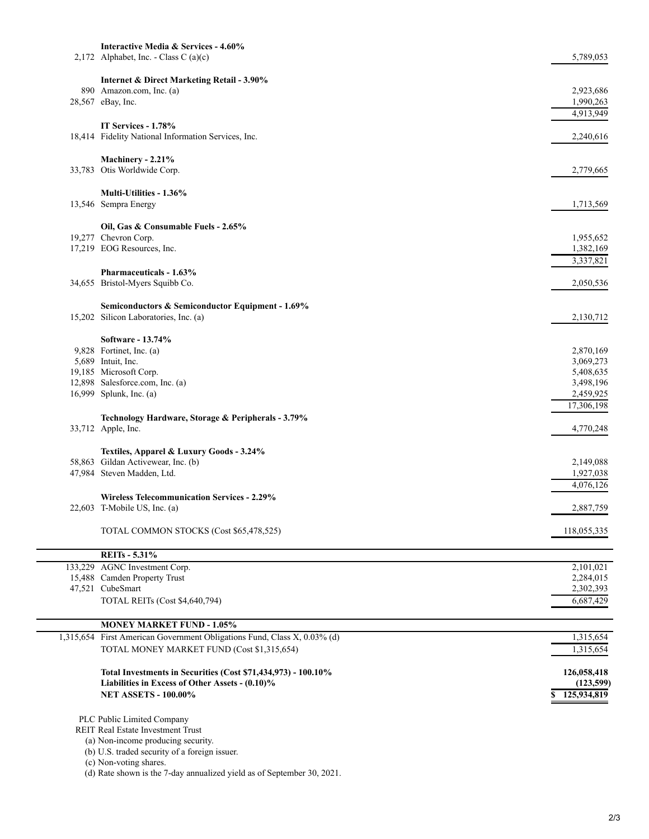| Interactive Media & Services - 4.60%<br>2,172 Alphabet, Inc. - Class C (a)(c)                                    | 5,789,053                |
|------------------------------------------------------------------------------------------------------------------|--------------------------|
|                                                                                                                  |                          |
| <b>Internet &amp; Direct Marketing Retail - 3.90%</b><br>890 Amazon.com, Inc. (a)                                | 2,923,686                |
| 28,567 eBay, Inc.                                                                                                | 1,990,263                |
|                                                                                                                  | 4,913,949                |
| IT Services - 1.78%                                                                                              |                          |
| 18,414 Fidelity National Information Services, Inc.                                                              | 2,240,616                |
| Machinery - 2.21%                                                                                                |                          |
| 33,783 Otis Worldwide Corp.                                                                                      | 2,779,665                |
| Multi-Utilities - 1.36%                                                                                          |                          |
| 13,546 Sempra Energy                                                                                             | 1,713,569                |
|                                                                                                                  |                          |
| Oil, Gas & Consumable Fuels - 2.65%<br>19,277 Chevron Corp.                                                      | 1,955,652                |
| 17,219 EOG Resources, Inc.                                                                                       | 1,382,169                |
|                                                                                                                  | 3,337,821                |
| Pharmaceuticals - 1.63%                                                                                          |                          |
| 34,655 Bristol-Myers Squibb Co.                                                                                  | 2,050,536                |
| Semiconductors & Semiconductor Equipment - 1.69%                                                                 |                          |
| 15,202 Silicon Laboratories, Inc. (a)                                                                            | 2,130,712                |
| Software - 13.74%                                                                                                |                          |
| 9,828 Fortinet, Inc. (a)                                                                                         | 2,870,169                |
| 5,689 Intuit, Inc.                                                                                               | 3,069,273                |
| 19,185 Microsoft Corp.                                                                                           | 5,408,635                |
| 12,898 Salesforce.com, Inc. (a)<br>16,999 Splunk, Inc. (a)                                                       | 3,498,196<br>2,459,925   |
|                                                                                                                  | 17,306,198               |
| Technology Hardware, Storage & Peripherals - 3.79%                                                               |                          |
| 33,712 Apple, Inc.                                                                                               | 4,770,248                |
| Textiles, Apparel & Luxury Goods - 3.24%                                                                         |                          |
| 58,863 Gildan Activewear, Inc. (b)                                                                               | 2,149,088                |
| 47,984 Steven Madden, Ltd.                                                                                       | 1,927,038                |
|                                                                                                                  | 4,076,126                |
| <b>Wireless Telecommunication Services - 2.29%</b><br>22,603 T-Mobile US, Inc. (a)                               | 2,887,759                |
|                                                                                                                  |                          |
| TOTAL COMMON STOCKS (Cost \$65,478,525)                                                                          | 118,055,335              |
| <b>REITs - 5.31%</b>                                                                                             |                          |
| 133,229 AGNC Investment Corp.                                                                                    | 2,101,021                |
| 15,488 Camden Property Trust                                                                                     | 2,284,015                |
| 47,521 CubeSmart                                                                                                 | 2,302,393                |
| TOTAL REITs (Cost \$4,640,794)                                                                                   | 6,687,429                |
| <b>MONEY MARKET FUND - 1.05%</b>                                                                                 |                          |
| 1,315,654 First American Government Obligations Fund, Class X, 0.03% (d)                                         | 1,315,654                |
| TOTAL MONEY MARKET FUND (Cost \$1,315,654)                                                                       | 1,315,654                |
|                                                                                                                  |                          |
| Total Investments in Securities (Cost \$71,434,973) - 100.10%<br>Liabilities in Excess of Other Assets - (0.10)% | 126,058,418<br>(123,599) |
| <b>NET ASSETS - 100.00%</b>                                                                                      | 125,934,819<br>S         |
|                                                                                                                  |                          |
| PLC Public Limited Company                                                                                       |                          |
| REIT Real Estate Investment Trust<br>(a) Non-income producing security.                                          |                          |
| (b) U.S. traded security of a foreign issuer.                                                                    |                          |
| (c) Non-voting shares.                                                                                           |                          |
| (d) Rate shown is the 7-day annualized yield as of September 30, 2021.                                           |                          |